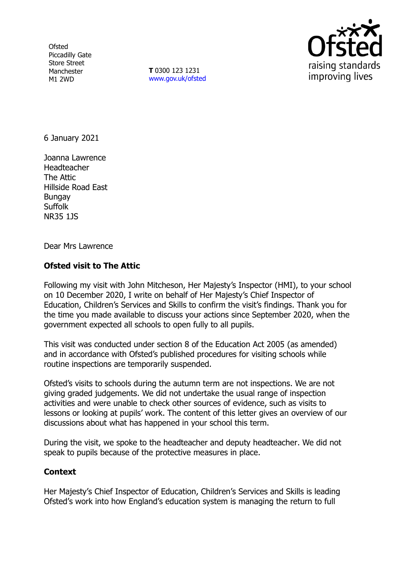**Ofsted** Piccadilly Gate Store Street Manchester M1 2WD

**T** 0300 123 1231 [www.gov.uk/ofsted](http://www.gov.uk/ofsted)



6 January 2021

Joanna Lawrence Headteacher The Attic Hillside Road East Bungay Suffolk NR35 1JS

Dear Mrs Lawrence

## **Ofsted visit to The Attic**

Following my visit with John Mitcheson, Her Majesty's Inspector (HMI), to your school on 10 December 2020, I write on behalf of Her Majesty's Chief Inspector of Education, Children's Services and Skills to confirm the visit's findings. Thank you for the time you made available to discuss your actions since September 2020, when the government expected all schools to open fully to all pupils.

This visit was conducted under section 8 of the Education Act 2005 (as amended) and in accordance with Ofsted's published procedures for visiting schools while routine inspections are temporarily suspended.

Ofsted's visits to schools during the autumn term are not inspections. We are not giving graded judgements. We did not undertake the usual range of inspection activities and were unable to check other sources of evidence, such as visits to lessons or looking at pupils' work. The content of this letter gives an overview of our discussions about what has happened in your school this term.

During the visit, we spoke to the headteacher and deputy headteacher. We did not speak to pupils because of the protective measures in place.

## **Context**

Her Majesty's Chief Inspector of Education, Children's Services and Skills is leading Ofsted's work into how England's education system is managing the return to full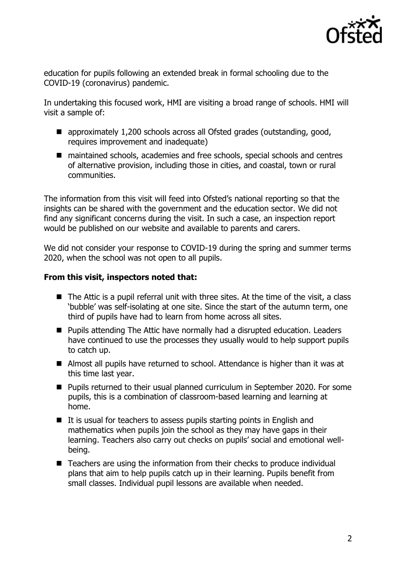

education for pupils following an extended break in formal schooling due to the COVID-19 (coronavirus) pandemic.

In undertaking this focused work, HMI are visiting a broad range of schools. HMI will visit a sample of:

- approximately 1,200 schools across all Ofsted grades (outstanding, good, requires improvement and inadequate)
- maintained schools, academies and free schools, special schools and centres of alternative provision, including those in cities, and coastal, town or rural communities.

The information from this visit will feed into Ofsted's national reporting so that the insights can be shared with the government and the education sector. We did not find any significant concerns during the visit. In such a case, an inspection report would be published on our website and available to parents and carers.

We did not consider your response to COVID-19 during the spring and summer terms 2020, when the school was not open to all pupils.

## **From this visit, inspectors noted that:**

- $\blacksquare$  The Attic is a pupil referral unit with three sites. At the time of the visit, a class 'bubble' was self-isolating at one site. Since the start of the autumn term, one third of pupils have had to learn from home across all sites.
- **Pupils attending The Attic have normally had a disrupted education. Leaders** have continued to use the processes they usually would to help support pupils to catch up.
- Almost all pupils have returned to school. Attendance is higher than it was at this time last year.
- Pupils returned to their usual planned curriculum in September 2020. For some pupils, this is a combination of classroom-based learning and learning at home.
- $\blacksquare$  It is usual for teachers to assess pupils starting points in English and mathematics when pupils join the school as they may have gaps in their learning. Teachers also carry out checks on pupils' social and emotional wellbeing.
- Teachers are using the information from their checks to produce individual plans that aim to help pupils catch up in their learning. Pupils benefit from small classes. Individual pupil lessons are available when needed.